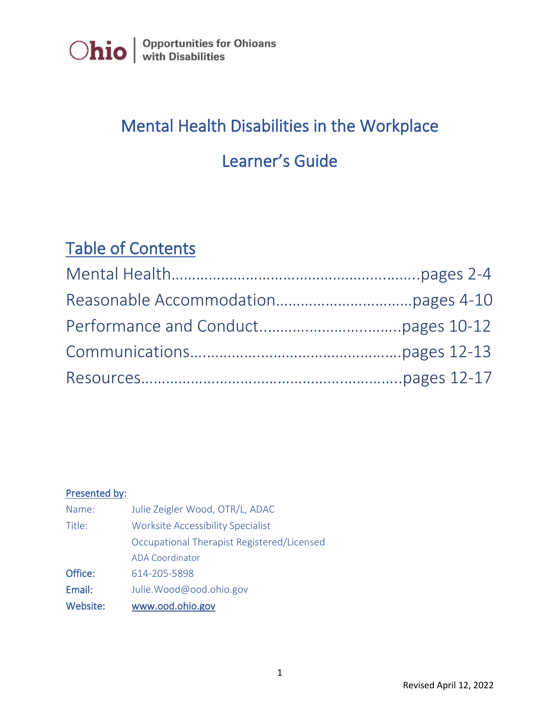

# Mental Health Disabilities in the Workplace

### Learner's Guide

### Table of Contents

### Presented by:

| Name:    | Julie Zeigler Wood, OTR/L, ADAC            |
|----------|--------------------------------------------|
| Title:   | <b>Worksite Accessibility Specialist</b>   |
|          | Occupational Therapist Registered/Licensed |
|          | <b>ADA Coordinator</b>                     |
| Office:  | 614-205-5898                               |
| Email:   | Julie.Wood@ood.ohio.gov                    |
| Website: | www.ood.ohio.gov                           |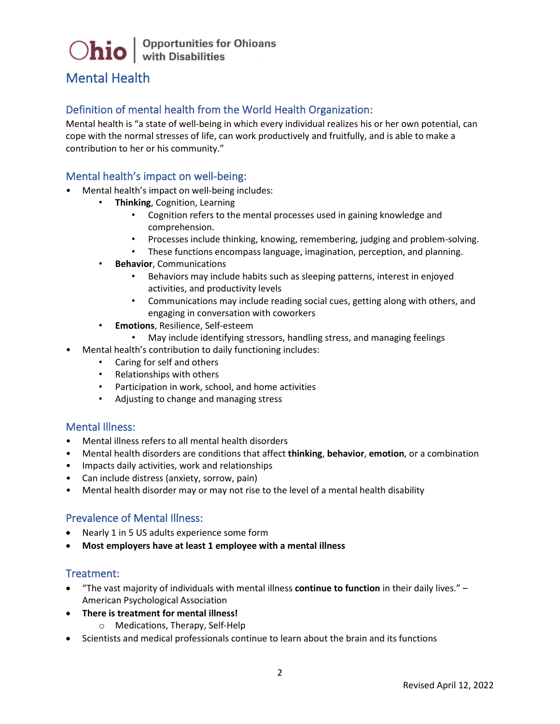### Mental Health

#### Definition of mental health from the World Health Organization:

Mental health is "a state of well-being in which every individual realizes his or her own potential, can cope with the normal stresses of life, can work productively and fruitfully, and is able to make a contribution to her or his community."

#### Mental health's impact on well-being:

- Mental health's impact on well-being includes:
	- **Thinking**, Cognition, Learning
		- Cognition refers to the mental processes used in gaining knowledge and comprehension.
		- Processes include thinking, knowing, remembering, judging and problem-solving.
		- These functions encompass language, imagination, perception, and planning.
	- **Behavior**, Communications
		- Behaviors may include habits such as sleeping patterns, interest in enjoyed activities, and productivity levels
		- Communications may include reading social cues, getting along with others, and engaging in conversation with coworkers
	- **Emotions**, Resilience, Self-esteem
		- May include identifying stressors, handling stress, and managing feelings
- Mental health's contribution to daily functioning includes:
	- Caring for self and others
	- Relationships with others
	- Participation in work, school, and home activities
	- Adjusting to change and managing stress

#### Mental Illness:

- Mental illness refers to all mental health disorders
- Mental health disorders are conditions that affect **thinking**, **behavior**, **emotion**, or a combination
- Impacts daily activities, work and relationships
- Can include distress (anxiety, sorrow, pain)
- Mental health disorder may or may not rise to the level of a mental health disability

#### Prevalence of Mental Illness:

- Nearly 1 in 5 US adults experience some form
- **Most employers have at least 1 employee with a mental illness**

#### Treatment:

- "The vast majority of individuals with mental illness **continue to function** in their daily lives." American Psychological Association
- **There is treatment for mental illness!**
	- o Medications, Therapy, Self-Help
- Scientists and medical professionals continue to learn about the brain and its functions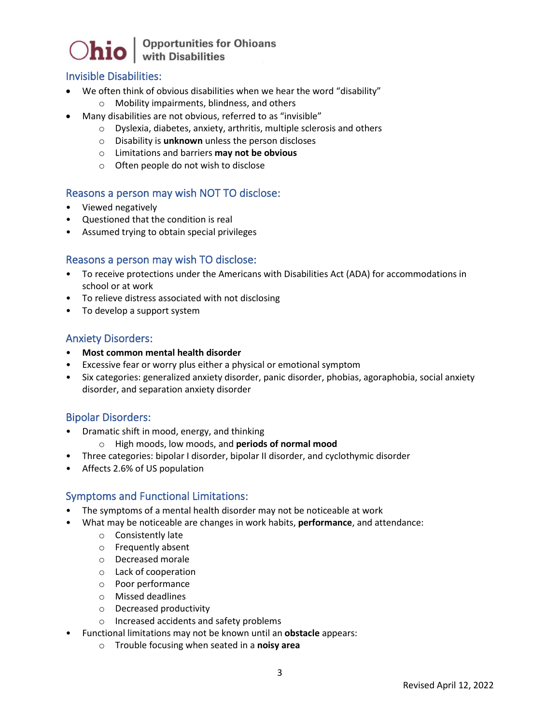

#### Invisible Disabilities:

- We often think of obvious disabilities when we hear the word "disability"
	- o Mobility impairments, blindness, and others
- Many disabilities are not obvious, referred to as "invisible"
	- o Dyslexia, diabetes, anxiety, arthritis, multiple sclerosis and others
	- o Disability is **unknown** unless the person discloses
	- o Limitations and barriers **may not be obvious**
	- o Often people do not wish to disclose

#### Reasons a person may wish NOT TO disclose:

- Viewed negatively
- Questioned that the condition is real
- Assumed trying to obtain special privileges

#### Reasons a person may wish TO disclose:

- To receive protections under the Americans with Disabilities Act (ADA) for accommodations in school or at work
- To relieve distress associated with not disclosing
- To develop a support system

#### Anxiety Disorders:

- **Most common mental health disorder**
- Excessive fear or worry plus either a physical or emotional symptom
- Six categories: generalized anxiety disorder, panic disorder, phobias, agoraphobia, social anxiety disorder, and separation anxiety disorder

#### Bipolar Disorders:

- Dramatic shift in mood, energy, and thinking
	- o High moods, low moods, and **periods of normal mood**
- Three categories: bipolar I disorder, bipolar II disorder, and cyclothymic disorder
- Affects 2.6% of US population

#### Symptoms and Functional Limitations:

- The symptoms of a mental health disorder may not be noticeable at work
- What may be noticeable are changes in work habits, **performance**, and attendance:
	- o Consistently late
	- o Frequently absent
	- o Decreased morale
	- o Lack of cooperation
	- o Poor performance
	- o Missed deadlines
	- o Decreased productivity
	- o Increased accidents and safety problems
- Functional limitations may not be known until an **obstacle** appears:
	- o Trouble focusing when seated in a **noisy area**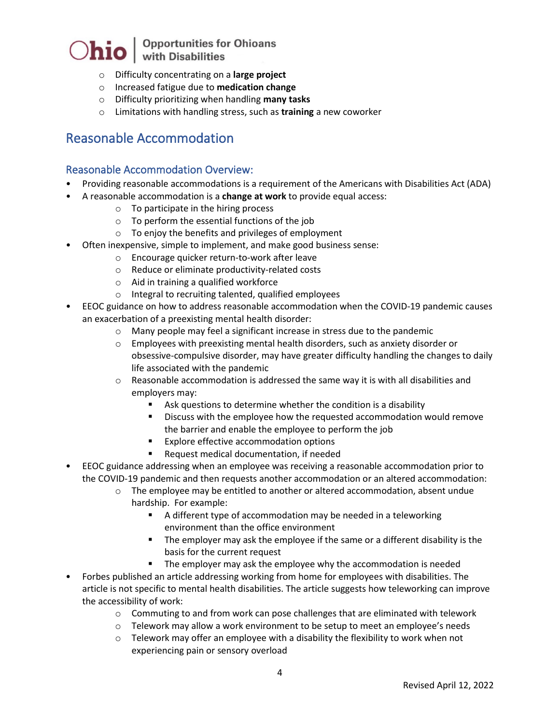## $\bigcirc$ hio  $\big|$  Opportunities for Ohioans

- o Difficulty concentrating on a **large project**
- o Increased fatigue due to **medication change**
- o Difficulty prioritizing when handling **many tasks**
- o Limitations with handling stress, such as **training** a new coworker

### Reasonable Accommodation

#### Reasonable Accommodation Overview:

- Providing reasonable accommodations is a requirement of the Americans with Disabilities Act (ADA)
- A reasonable accommodation is a **change at work** to provide equal access:
	- o To participate in the hiring process
	- o To perform the essential functions of the job
	- o To enjoy the benefits and privileges of employment
- Often inexpensive, simple to implement, and make good business sense:
	- o Encourage quicker return-to-work after leave
	- o Reduce or eliminate productivity-related costs
	- o Aid in training a qualified workforce
	- o Integral to recruiting talented, qualified employees
- EEOC guidance on how to address reasonable accommodation when the COVID-19 pandemic causes an exacerbation of a preexisting mental health disorder:
	- o Many people may feel a significant increase in stress due to the pandemic
	- o Employees with preexisting mental health disorders, such as anxiety disorder or obsessive-compulsive disorder, may have greater difficulty handling the changes to daily life associated with the pandemic
	- $\circ$  Reasonable accommodation is addressed the same way it is with all disabilities and employers may:
		- Ask questions to determine whether the condition is a disability
		- Discuss with the employee how the requested accommodation would remove the barrier and enable the employee to perform the job
		- **Explore effective accommodation options**
		- Request medical documentation, if needed
- EEOC guidance addressing when an employee was receiving a reasonable accommodation prior to the COVID-19 pandemic and then requests another accommodation or an altered accommodation:
	- o The employee may be entitled to another or altered accommodation, absent undue hardship. For example:
		- A different type of accommodation may be needed in a teleworking environment than the office environment
		- The employer may ask the employee if the same or a different disability is the basis for the current request
		- The employer may ask the employee why the accommodation is needed
- Forbes published an article addressing working from home for employees with disabilities. The article is not specific to mental health disabilities. The article suggests how teleworking can improve the accessibility of work:
	- o Commuting to and from work can pose challenges that are eliminated with telework
	- $\circ$  Telework may allow a work environment to be setup to meet an employee's needs
	- $\circ$  Telework may offer an employee with a disability the flexibility to work when not experiencing pain or sensory overload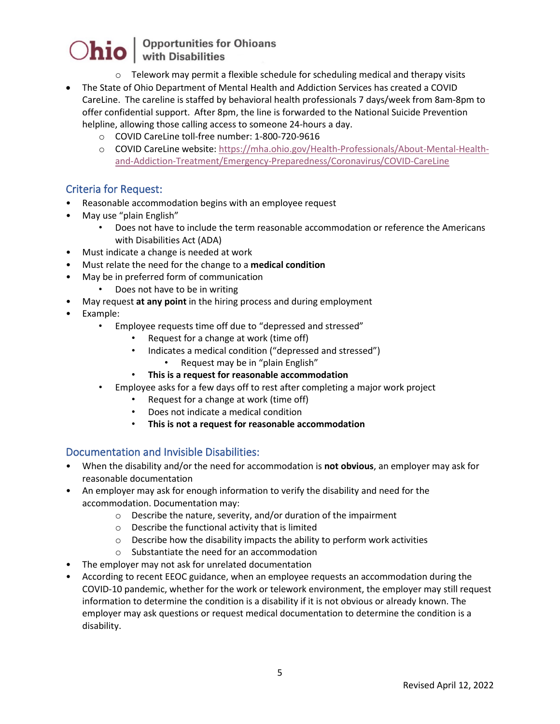- $\circ$  Telework may permit a flexible schedule for scheduling medical and therapy visits
- The State of Ohio Department of Mental Health and Addiction Services has created a COVID CareLine. The careline is staffed by behavioral health professionals 7 days/week from 8am-8pm to offer confidential support. After 8pm, the line is forwarded to the National Suicide Prevention helpline, allowing those calling access to someone 24-hours a day.
	- o COVID CareLine toll-free number: 1-800-720-9616
	- o COVID CareLine website: [https://mha.ohio.gov/Health-Professionals/About-Mental-Health](https://mha.ohio.gov/Health-Professionals/About-Mental-Health-and-Addiction-Treatment/Emergency-Preparedness/Coronavirus/COVID-CareLine)[and-Addiction-Treatment/Emergency-Preparedness/Coronavirus/COVID-CareLine](https://mha.ohio.gov/Health-Professionals/About-Mental-Health-and-Addiction-Treatment/Emergency-Preparedness/Coronavirus/COVID-CareLine)

#### Criteria for Request:

- Reasonable accommodation begins with an employee request
- May use "plain English"
	- Does not have to include the term reasonable accommodation or reference the Americans with Disabilities Act (ADA)
- Must indicate a change is needed at work
- Must relate the need for the change to a **medical condition**
- May be in preferred form of communication
	- Does not have to be in writing
- May request **at any point** in the hiring process and during employment
- Example:
	- Employee requests time off due to "depressed and stressed"
		- Request for a change at work (time off)
		- Indicates a medical condition ("depressed and stressed")
			- Request may be in "plain English"
		- **This is a request for reasonable accommodation**
	- Employee asks for a few days off to rest after completing a major work project
		- Request for a change at work (time off)
		- Does not indicate a medical condition
		- **This is not a request for reasonable accommodation**

#### Documentation and Invisible Disabilities:

- When the disability and/or the need for accommodation is **not obvious**, an employer may ask for reasonable documentation
- An employer may ask for enough information to verify the disability and need for the accommodation. Documentation may:
	- o Describe the nature, severity, and/or duration of the impairment
	- o Describe the functional activity that is limited
	- $\circ$  Describe how the disability impacts the ability to perform work activities
	- o Substantiate the need for an accommodation
- The employer may not ask for unrelated documentation
- According to recent EEOC guidance, when an employee requests an accommodation during the COVID-10 pandemic, whether for the work or telework environment, the employer may still request information to determine the condition is a disability if it is not obvious or already known. The employer may ask questions or request medical documentation to determine the condition is a disability.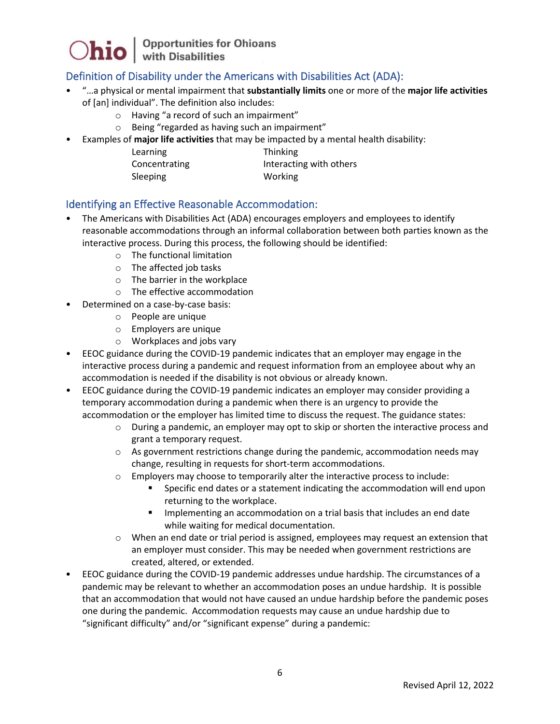

### Definition of Disability under the Americans with Disabilities Act (ADA):

- "…a physical or mental impairment that **substantially limits** one or more of the **major life activities** of [an] individual". The definition also includes:
	- o Having "a record of such an impairment"
	- o Being "regarded as having such an impairment"
- Examples of **major life activities** that may be impacted by a mental health disability:
	- Learning Thinking Concentrating **Interacting with others** Sleeping Working

#### Identifying an Effective Reasonable Accommodation:

- The Americans with Disabilities Act (ADA) encourages employers and employees to identify reasonable accommodations through an informal collaboration between both parties known as the interactive process. During this process, the following should be identified:
	- o The functional limitation
	- o The affected job tasks
	- o The barrier in the workplace
	- o The effective accommodation
- Determined on a case-by-case basis:
	- o People are unique
	- o Employers are unique
	- o Workplaces and jobs vary
- EEOC guidance during the COVID-19 pandemic indicates that an employer may engage in the interactive process during a pandemic and request information from an employee about why an accommodation is needed if the disability is not obvious or already known.
- EEOC guidance during the COVID-19 pandemic indicates an employer may consider providing a temporary accommodation during a pandemic when there is an urgency to provide the accommodation or the employer has limited time to discuss the request. The guidance states:
	- o During a pandemic, an employer may opt to skip or shorten the interactive process and grant a temporary request.
	- $\circ$  As government restrictions change during the pandemic, accommodation needs may change, resulting in requests for short-term accommodations.
	- o Employers may choose to temporarily alter the interactive process to include:
		- Specific end dates or a statement indicating the accommodation will end upon returning to the workplace.
		- Implementing an accommodation on a trial basis that includes an end date while waiting for medical documentation.
	- o When an end date or trial period is assigned, employees may request an extension that an employer must consider. This may be needed when government restrictions are created, altered, or extended.
- EEOC guidance during the COVID-19 pandemic addresses undue hardship. The circumstances of a pandemic may be relevant to whether an accommodation poses an undue hardship. It is possible that an accommodation that would not have caused an undue hardship before the pandemic poses one during the pandemic. Accommodation requests may cause an undue hardship due to "significant difficulty" and/or "significant expense" during a pandemic: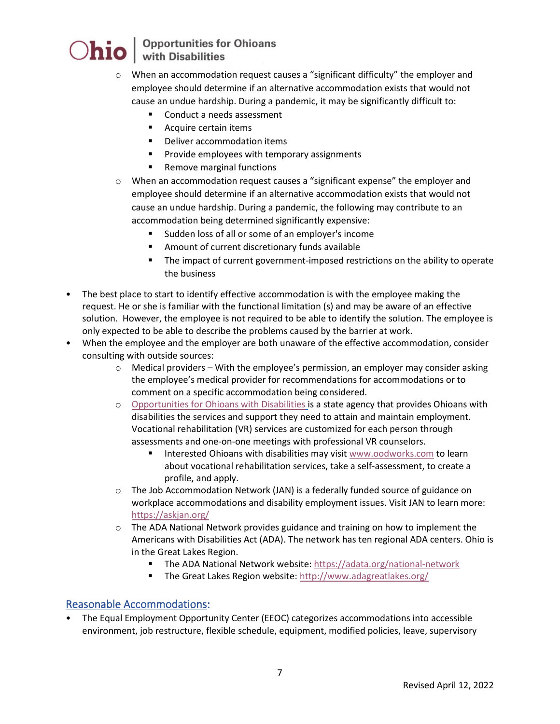## Opportunities for Ohioans<br>with Disabilities

- $\circ$  When an accommodation request causes a "significant difficulty" the employer and employee should determine if an alternative accommodation exists that would not cause an undue hardship. During a pandemic, it may be significantly difficult to:
	- Conduct a needs assessment
	- **Acquire certain items**
	- **•** Deliver accommodation items
	- **Provide employees with temporary assignments**
	- **Remove marginal functions**
- o When an accommodation request causes a "significant expense" the employer and employee should determine if an alternative accommodation exists that would not cause an undue hardship. During a pandemic, the following may contribute to an accommodation being determined significantly expensive:
	- Sudden loss of all or some of an employer's income
	- Amount of current discretionary funds available
	- The impact of current government-imposed restrictions on the ability to operate the business
- The best place to start to identify effective accommodation is with the employee making the request. He or she is familiar with the functional limitation (s) and may be aware of an effective solution. However, the employee is not required to be able to identify the solution. The employee is only expected to be able to describe the problems caused by the barrier at work.
- When the employee and the employer are both unaware of the effective accommodation, consider consulting with outside sources:
	- $\circ$  Medical providers With the employee's permission, an employer may consider asking the employee's medical provider for recommendations for accommodations or to comment on a specific accommodation being considered.
	- o [Opportunities for Ohioans with Disabilities](https://ood.ohio.gov/wps/portal/gov/ood/) is a state agency that provides Ohioans with disabilities the services and support they need to attain and maintain employment. Vocational rehabilitation (VR) services are customized for each person through assessments and one-on-one meetings with professional VR counselors.
		- Interested Ohioans with disabilities may visit [www.oodworks.com](http://www.oodworks.com/) to learn about vocational rehabilitation services, take a self-assessment, to create a profile, and apply.
	- o The Job Accommodation Network (JAN) is a federally funded source of guidance on workplace accommodations and disability employment issues. Visit JAN to learn more: <https://askjan.org/>
	- o The ADA National Network provides guidance and training on how to implement the Americans with Disabilities Act (ADA). The network has ten regional ADA centers. Ohio is in the Great Lakes Region.
		- The ADA National Network website: <https://adata.org/national-network>
		- The Great Lakes Region website[: http://www.adagreatlakes.org/](http://www.adagreatlakes.org/)

#### Reasonable Accommodations:

• The Equal Employment Opportunity Center (EEOC) categorizes accommodations into accessible environment, job restructure, flexible schedule, equipment, modified policies, leave, supervisory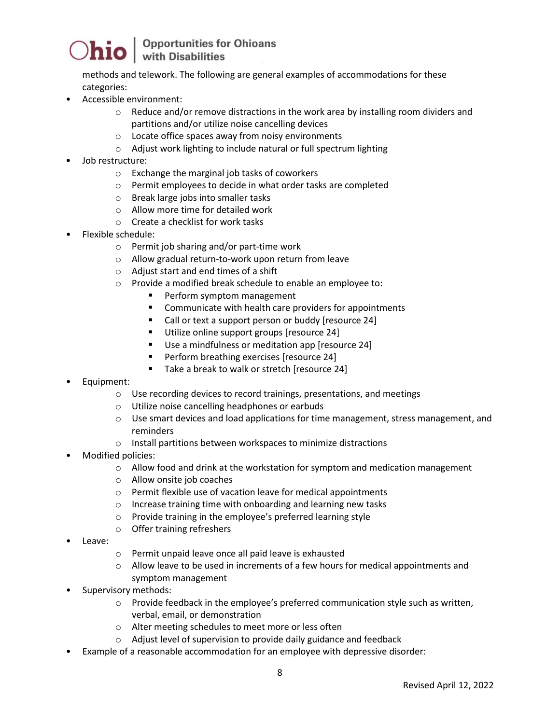### Opportunities for Ohioans<br>with Disabilities

methods and telework. The following are general examples of accommodations for these categories:

- Accessible environment:
	- $\circ$  Reduce and/or remove distractions in the work area by installing room dividers and partitions and/or utilize noise cancelling devices
	- o Locate office spaces away from noisy environments
	- o Adjust work lighting to include natural or full spectrum lighting
- Job restructure:
	- o Exchange the marginal job tasks of coworkers
	- o Permit employees to decide in what order tasks are completed
	- o Break large jobs into smaller tasks
	- o Allow more time for detailed work
	- o Create a checklist for work tasks
- Flexible schedule:
	- o Permit job sharing and/or part-time work
	- o Allow gradual return-to-work upon return from leave
	- o Adjust start and end times of a shift
	- $\circ$  Provide a modified break schedule to enable an employee to:<br>
	Perform symptom management
		- Perform symptom management
		- **EXECOMMUNICATE With health care providers for appointments**
		- Call or text a support person or buddy [resource 24]
		- Utilize online support groups [resource 24]
		- Use a mindfulness or meditation app [resource 24]
		- Perform breathing exercises [resource 24]
		- Take a break to walk or stretch [resource 24]
- Equipment:
	- o Use recording devices to record trainings, presentations, and meetings
	- o Utilize noise cancelling headphones or earbuds
	- $\circ$  Use smart devices and load applications for time management, stress management, and reminders
	- o Install partitions between workspaces to minimize distractions
- Modified policies:
	- $\circ$  Allow food and drink at the workstation for symptom and medication management
	- o Allow onsite job coaches
	- o Permit flexible use of vacation leave for medical appointments
	- o Increase training time with onboarding and learning new tasks
	- o Provide training in the employee's preferred learning style
	- o Offer training refreshers
- Leave:
- o Permit unpaid leave once all paid leave is exhausted
- $\circ$  Allow leave to be used in increments of a few hours for medical appointments and symptom management
- Supervisory methods:
	- $\circ$  Provide feedback in the employee's preferred communication style such as written, verbal, email, or demonstration
	- o Alter meeting schedules to meet more or less often
	- o Adjust level of supervision to provide daily guidance and feedback
- Example of a reasonable accommodation for an employee with depressive disorder: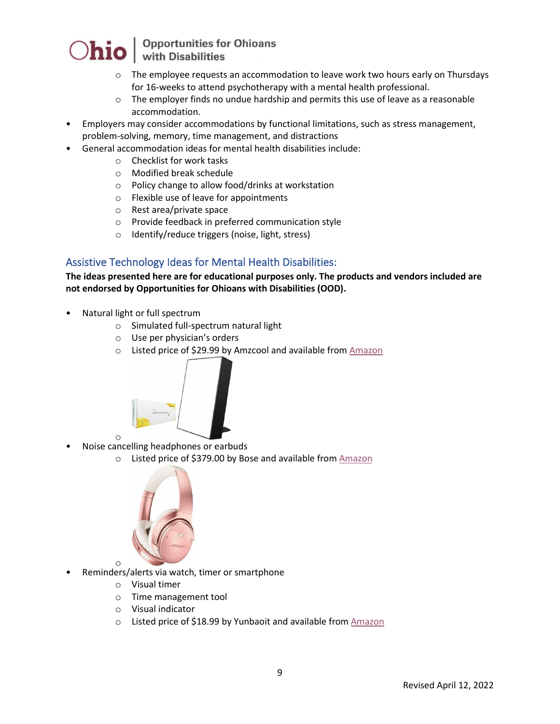

## Opportunities for Ohioans<br>with Disabilities

- $\circ$  The employee requests an accommodation to leave work two hours early on Thursdays for 16-weeks to attend psychotherapy with a mental health professional.
- $\circ$  The employer finds no undue hardship and permits this use of leave as a reasonable accommodation.
- Employers may consider accommodations by functional limitations, such as stress management, problem-solving, memory, time management, and distractions
	- General accommodation ideas for mental health disabilities include:
		- o Checklist for work tasks
			- o Modified break schedule
			- o Policy change to allow food/drinks at workstation
			- o Flexible use of leave for appointments
			- o Rest area/private space
			- o Provide feedback in preferred communication style
		- o Identify/reduce triggers (noise, light, stress)

#### Assistive Technology Ideas for Mental Health Disabilities:

#### **The ideas presented here are for educational purposes only. The products and vendors included are not endorsed by Opportunities for Ohioans with Disabilities (OOD).**

- Natural light or full spectrum
	- o Simulated full-spectrum natural light
	- o Use per physician's orders
	- o Listed price of \$29.99 by Amzcool and available from [Amazon](https://www.amazon.com/Simulated-Sunlight-Spectrum-Portable-Aluminum/dp/B07L332B52/ref=sr_1_1?keywords=AMZCOOL&qid=1581004731&sr=8-1)



- <sup>o</sup> Noise cancelling headphones or earbuds
	- o Listed price of \$379.00 by Bose and available from [Amazon](https://www.amazon.com/Bose-QuietComfort-Bluetooth-Headphones-Noise-Cancelling/dp/B07NXDPLJ9/ref=asc_df_B07NXDPLJ9/?tag=hyprod-20&linkCode=df0&hvadid=343276546772&hvpos=&hvnetw=g&hvrand=12021922186354533324&hvpone=&hvptwo=&hvqmt=&hvdev=c&hvdvcmdl=&hvlocint=&hvlocphy=9014972&hvtargid=pla-907596031192&psc=1&tag=&ref=&adgrpid=68750231003&hvpone=&hvptwo=&hvadid=343276546772&hvpos=&hvnetw=g&hvrand=12021922186354533324&hvqmt=&hvdev=c&hvdvcmdl=&hvlocint=&hvlocphy=9014972&hvtargid=pla-907596031192)



- <sup>o</sup> Reminders/alerts via watch, timer or smartphone
	- o Visual timer
	- o Time management tool
	- o Visual indicator
	- o Listed price of \$18.99 by Yunbaoit and available from [Amazon](https://www.amazon.com/Yunbaoit-Visual-Countdown-Ticking-Management/dp/B07PG1SR9C?th=1)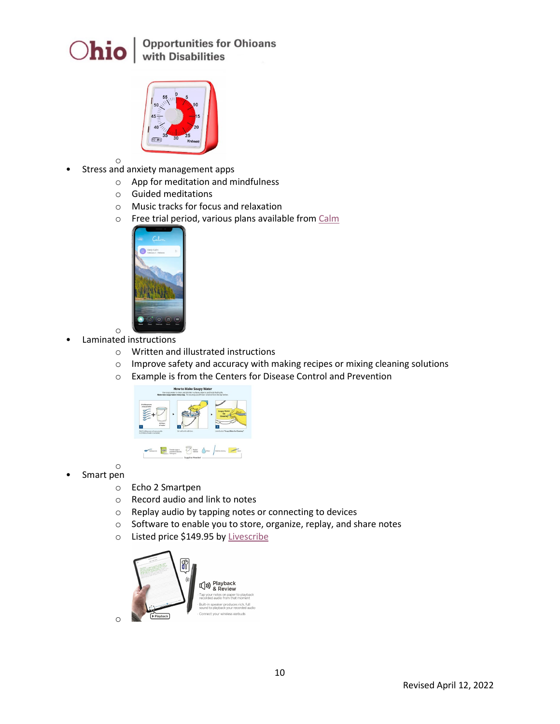



- 
- <sup>o</sup> Stress and anxiety management apps
	- o App for meditation and mindfulness
	- o Guided meditations
	- o Music tracks for focus and relaxation
	- o Free trial period, various plans available from [Calm](https://www.calm.com/)



- <sup>o</sup> Laminated instructions
	- o Written and illustrated instructions
	- o Improve safety and accuracy with making recipes or mixing cleaning solutions
	- o Example is from the Centers for Disease Control and Prevention



- <sup>o</sup> Smart pen
	- o Echo 2 Smartpen
	- o Record audio and link to notes
	- o Replay audio by tapping notes or connecting to devices
	- o Software to enable you to store, organize, replay, and share notes
	- o Listed price \$149.95 b[y Livescribe](https://www.livescribe.com/site/livescribe-2/echo/)

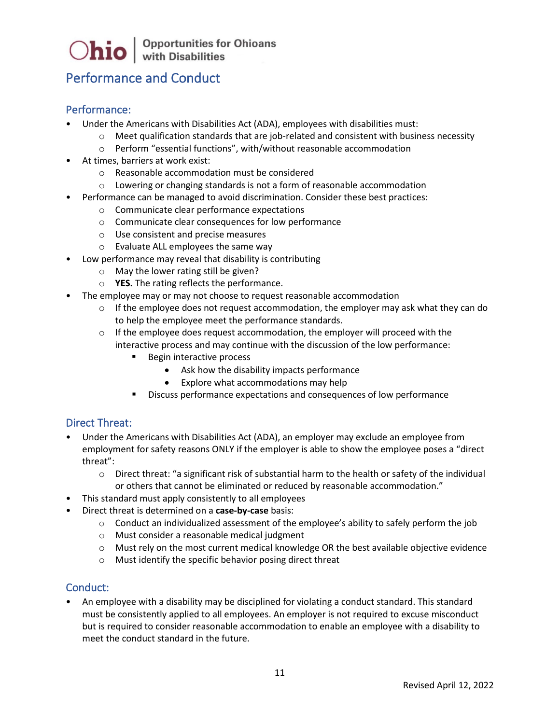### Performance and Conduct

#### Performance:

- Under the Americans with Disabilities Act (ADA), employees with disabilities must:
	- $\circ$  Meet qualification standards that are job-related and consistent with business necessity
	- o Perform "essential functions", with/without reasonable accommodation
- At times, barriers at work exist:
	- o Reasonable accommodation must be considered
	- $\circ$  Lowering or changing standards is not a form of reasonable accommodation
- Performance can be managed to avoid discrimination. Consider these best practices:
	- o Communicate clear performance expectations
	- o Communicate clear consequences for low performance
	- o Use consistent and precise measures
	- o Evaluate ALL employees the same way
- Low performance may reveal that disability is contributing
	- o May the lower rating still be given?
	- o **YES.** The rating reflects the performance.
- The employee may or may not choose to request reasonable accommodation
	- o If the employee does not request accommodation, the employer may ask what they can do to help the employee meet the performance standards.
	- $\circ$  If the employee does request accommodation, the employer will proceed with the interactive process and may continue with the discussion of the low performance:
		- Begin interactive process
			- Ask how the disability impacts performance
			- Explore what accommodations may help
		- **Discuss performance expectations and consequences of low performance**

#### Direct Threat:

- Under the Americans with Disabilities Act (ADA), an employer may exclude an employee from employment for safety reasons ONLY if the employer is able to show the employee poses a "direct threat":
	- $\circ$  Direct threat: "a significant risk of substantial harm to the health or safety of the individual or others that cannot be eliminated or reduced by reasonable accommodation."
- This standard must apply consistently to all employees
- Direct threat is determined on a **case-by-case** basis:
	- $\circ$  Conduct an individualized assessment of the employee's ability to safely perform the job
	- o Must consider a reasonable medical judgment
	- o Must rely on the most current medical knowledge OR the best available objective evidence
	- o Must identify the specific behavior posing direct threat

#### Conduct:

• An employee with a disability may be disciplined for violating a conduct standard. This standard must be consistently applied to all employees. An employer is not required to excuse misconduct but is required to consider reasonable accommodation to enable an employee with a disability to meet the conduct standard in the future.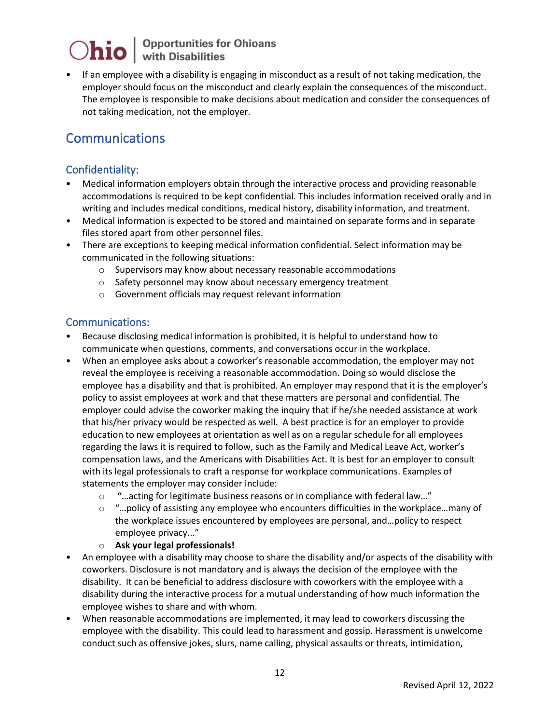## $\bigcirc$ hio  $\big|$  Opportunities for Ohioans

• If an employee with a disability is engaging in misconduct as a result of not taking medication, the employer should focus on the misconduct and clearly explain the consequences of the misconduct. The employee is responsible to make decisions about medication and consider the consequences of not taking medication, not the employer.

### Communications

### Confidentiality:

- Medical information employers obtain through the interactive process and providing reasonable accommodations is required to be kept confidential. This includes information received orally and in writing and includes medical conditions, medical history, disability information, and treatment.
- Medical information is expected to be stored and maintained on separate forms and in separate files stored apart from other personnel files.
- There are exceptions to keeping medical information confidential. Select information may be communicated in the following situations:
	- o Supervisors may know about necessary reasonable accommodations
	- o Safety personnel may know about necessary emergency treatment
	- o Government officials may request relevant information

#### Communications:

- Because disclosing medical information is prohibited, it is helpful to understand how to communicate when questions, comments, and conversations occur in the workplace.
- When an employee asks about a coworker's reasonable accommodation, the employer may not reveal the employee is receiving a reasonable accommodation. Doing so would disclose the employee has a disability and that is prohibited. An employer may respond that it is the employer's policy to assist employees at work and that these matters are personal and confidential. The employer could advise the coworker making the inquiry that if he/she needed assistance at work that his/her privacy would be respected as well. A best practice is for an employer to provide education to new employees at orientation as well as on a regular schedule for all employees regarding the laws it is required to follow, such as the Family and Medical Leave Act, worker's compensation laws, and the Americans with Disabilities Act. It is best for an employer to consult with its legal professionals to craft a response for workplace communications. Examples of statements the employer may consider include:
	- o "…acting for legitimate business reasons or in compliance with federal law…"
	- $\circ$  "... policy of assisting any employee who encounters difficulties in the workplace... many of the workplace issues encountered by employees are personal, and…policy to respect employee privacy..."

#### o **Ask your legal professionals!**

- An employee with a disability may choose to share the disability and/or aspects of the disability with coworkers. Disclosure is not mandatory and is always the decision of the employee with the disability. It can be beneficial to address disclosure with coworkers with the employee with a disability during the interactive process for a mutual understanding of how much information the employee wishes to share and with whom.
- When reasonable accommodations are implemented, it may lead to coworkers discussing the employee with the disability. This could lead to harassment and gossip. Harassment is unwelcome conduct such as offensive jokes, slurs, name calling, physical assaults or threats, intimidation,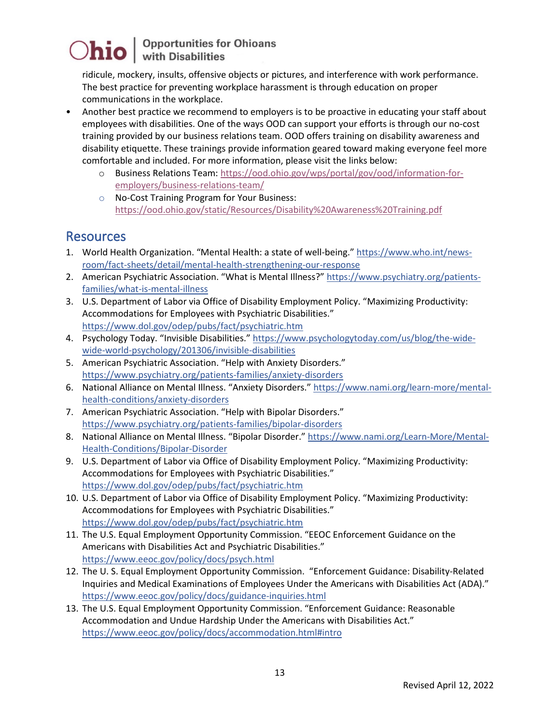ridicule, mockery, insults, offensive objects or pictures, and interference with work performance. The best practice for preventing workplace harassment is through education on proper communications in the workplace.

- Another best practice we recommend to employers is to be proactive in educating your staff about employees with disabilities. One of the ways OOD can support your efforts is through our no-cost training provided by our business relations team. OOD offers training on disability awareness and disability etiquette. These trainings provide information geared toward making everyone feel more comfortable and included. For more information, please visit the links below:
	- o Business Relations Team: [https://ood.ohio.gov/wps/portal/gov/ood/information-for](https://ood.ohio.gov/wps/portal/gov/ood/information-for-employers/business-relations-team/)[employers/business-relations-team/](https://ood.ohio.gov/wps/portal/gov/ood/information-for-employers/business-relations-team/)
	- o No-Cost Training Program for Your Business: <https://ood.ohio.gov/static/Resources/Disability%20Awareness%20Training.pdf>

### Resources

- 1. World Health Organization. "Mental Health: a state of well-being.[" https://www.who.int/news](https://www.who.int/news-room/fact-sheets/detail/mental-health-strengthening-our-response)[room/fact-sheets/detail/mental-health-strengthening-our-response](https://www.who.int/news-room/fact-sheets/detail/mental-health-strengthening-our-response)
- 2. American Psychiatric Association. "What is Mental Illness?" [https://www.psychiatry.org/patients](https://www.psychiatry.org/patients-families/what-is-mental-illness)[families/what-is-mental-illness](https://www.psychiatry.org/patients-families/what-is-mental-illness)
- 3. U.S. Department of Labor via Office of Disability Employment Policy. "Maximizing Productivity: Accommodations for Employees with Psychiatric Disabilities." <https://www.dol.gov/odep/pubs/fact/psychiatric.htm>
- 4. Psychology Today. "Invisible Disabilities.[" https://www.psychologytoday.com/us/blog/the-wide](https://www.psychologytoday.com/us/blog/the-wide-wide-world-psychology/201306/invisible-disabilities)[wide-world-psychology/201306/invisible-disabilities](https://www.psychologytoday.com/us/blog/the-wide-wide-world-psychology/201306/invisible-disabilities)
- 5. American Psychiatric Association. "Help with Anxiety Disorders." <https://www.psychiatry.org/patients-families/anxiety-disorders>
- 6. National Alliance on Mental Illness. "Anxiety Disorders." [https://www.nami.org/learn-more/mental](https://www.nami.org/learn-more/mental-health-conditions/anxiety-disorders)[health-conditions/anxiety-disorders](https://www.nami.org/learn-more/mental-health-conditions/anxiety-disorders)
- 7. American Psychiatric Association. "Help with Bipolar Disorders." <https://www.psychiatry.org/patients-families/bipolar-disorders>
- 8. National Alliance on Mental Illness. "Bipolar Disorder.[" https://www.nami.org/Learn-More/Mental-](https://www.nami.org/Learn-More/Mental-Health-Conditions/Bipolar-Disorder)[Health-Conditions/Bipolar-Disorder](https://www.nami.org/Learn-More/Mental-Health-Conditions/Bipolar-Disorder)
- 9. U.S. Department of Labor via Office of Disability Employment Policy. "Maximizing Productivity: Accommodations for Employees with Psychiatric Disabilities." <https://www.dol.gov/odep/pubs/fact/psychiatric.htm>
- 10. U.S. Department of Labor via Office of Disability Employment Policy. "Maximizing Productivity: Accommodations for Employees with Psychiatric Disabilities." <https://www.dol.gov/odep/pubs/fact/psychiatric.htm>
- 11. The U.S. Equal Employment Opportunity Commission. "EEOC Enforcement Guidance on the Americans with Disabilities Act and Psychiatric Disabilities." <https://www.eeoc.gov/policy/docs/psych.html>
- 12. The U. S. Equal Employment Opportunity Commission. "Enforcement Guidance: Disability-Related Inquiries and Medical Examinations of Employees Under the Americans with Disabilities Act (ADA)." <https://www.eeoc.gov/policy/docs/guidance-inquiries.html>
- 13. The U.S. Equal Employment Opportunity Commission. "Enforcement Guidance: Reasonable Accommodation and Undue Hardship Under the Americans with Disabilities Act." <https://www.eeoc.gov/policy/docs/accommodation.html#intro>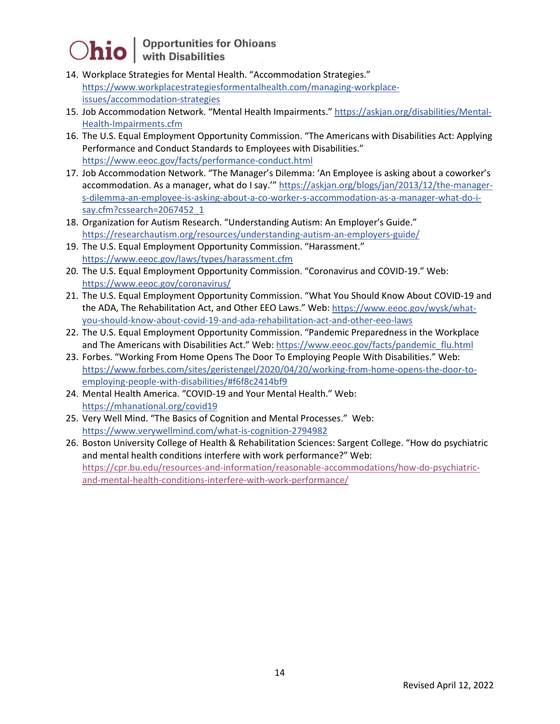- 14. Workplace Strategies for Mental Health. "Accommodation Strategies." [https://www.workplacestrategiesformentalhealth.com/managing-workplace](https://www.workplacestrategiesformentalhealth.com/managing-workplace-issues/accommodation-strategies)[issues/accommodation-strategies](https://www.workplacestrategiesformentalhealth.com/managing-workplace-issues/accommodation-strategies)
- 15. Job Accommodation Network. "Mental Health Impairments." [https://askjan.org/disabilities/Mental-](https://askjan.org/disabilities/Mental-Health-Impairments.cfm)[Health-Impairments.cfm](https://askjan.org/disabilities/Mental-Health-Impairments.cfm)
- 16. The U.S. Equal Employment Opportunity Commission. "The Americans with Disabilities Act: Applying Performance and Conduct Standards to Employees with Disabilities." <https://www.eeoc.gov/facts/performance-conduct.html>
- 17. Job Accommodation Network. "The Manager's Dilemma: 'An Employee is asking about a coworker's accommodation. As a manager, what do I say.'" [https://askjan.org/blogs/jan/2013/12/the-manager](https://askjan.org/blogs/jan/2013/12/the-manager-s-dilemma-an-employee-is-asking-about-a-co-worker-s-accommodation-as-a-manager-what-do-i-say.cfm?cssearch=2067452_1)[s-dilemma-an-employee-is-asking-about-a-co-worker-s-accommodation-as-a-manager-what-do-i](https://askjan.org/blogs/jan/2013/12/the-manager-s-dilemma-an-employee-is-asking-about-a-co-worker-s-accommodation-as-a-manager-what-do-i-say.cfm?cssearch=2067452_1)[say.cfm?cssearch=2067452\\_1](https://askjan.org/blogs/jan/2013/12/the-manager-s-dilemma-an-employee-is-asking-about-a-co-worker-s-accommodation-as-a-manager-what-do-i-say.cfm?cssearch=2067452_1)
- 18. Organization for Autism Research. "Understanding Autism: An Employer's Guide." <https://researchautism.org/resources/understanding-autism-an-employers-guide/>
- 19. The U.S. Equal Employment Opportunity Commission. "Harassment." <https://www.eeoc.gov/laws/types/harassment.cfm>
- 20. The U.S. Equal Employment Opportunity Commission. "Coronavirus and COVID-19." Web: <https://www.eeoc.gov/coronavirus/>
- 21. The U.S. Equal Employment Opportunity Commission. "What You Should Know About COVID-19 and the ADA, The Rehabilitation Act, and Other EEO Laws." Web: [https://www.eeoc.gov/wysk/what](https://www.eeoc.gov/wysk/what-you-should-know-about-covid-19-and-ada-rehabilitation-act-and-other-eeo-laws)[you-should-know-about-covid-19-and-ada-rehabilitation-act-and-other-eeo-laws](https://www.eeoc.gov/wysk/what-you-should-know-about-covid-19-and-ada-rehabilitation-act-and-other-eeo-laws)
- 22. The U.S. Equal Employment Opportunity Commission. "Pandemic Preparedness in the Workplace and The Americans with Disabilities Act." Web: [https://www.eeoc.gov/facts/pandemic\\_flu.html](https://www.eeoc.gov/facts/pandemic_flu.html)
- 23. Forbes. "Working From Home Opens The Door To Employing People With Disabilities." Web: [https://www.forbes.com/sites/geristengel/2020/04/20/working-from-home-opens-the-door-to](https://www.forbes.com/sites/geristengel/2020/04/20/working-from-home-opens-the-door-to-employing-people-with-disabilities/#f6f8c2414bf9)[employing-people-with-disabilities/#f6f8c2414bf9](https://www.forbes.com/sites/geristengel/2020/04/20/working-from-home-opens-the-door-to-employing-people-with-disabilities/#f6f8c2414bf9)
- 24. Mental Health America. "COVID-19 and Your Mental Health." Web: <https://mhanational.org/covid19>
- 25. Very Well Mind. "The Basics of Cognition and Mental Processes." Web: <https://www.verywellmind.com/what-is-cognition-2794982>
- 26. Boston University College of Health & Rehabilitation Sciences: Sargent College. "How do psychiatric and mental health conditions interfere with work performance?" Web: [https://cpr.bu.edu/resources-and-information/reasonable-accommodations/how-do-psychiatric](https://cpr.bu.edu/resources-and-information/reasonable-accommodations/how-do-psychiatric-and-mental-health-conditions-interfere-with-work-performance/)[and-mental-health-conditions-interfere-with-work-performance/](https://cpr.bu.edu/resources-and-information/reasonable-accommodations/how-do-psychiatric-and-mental-health-conditions-interfere-with-work-performance/)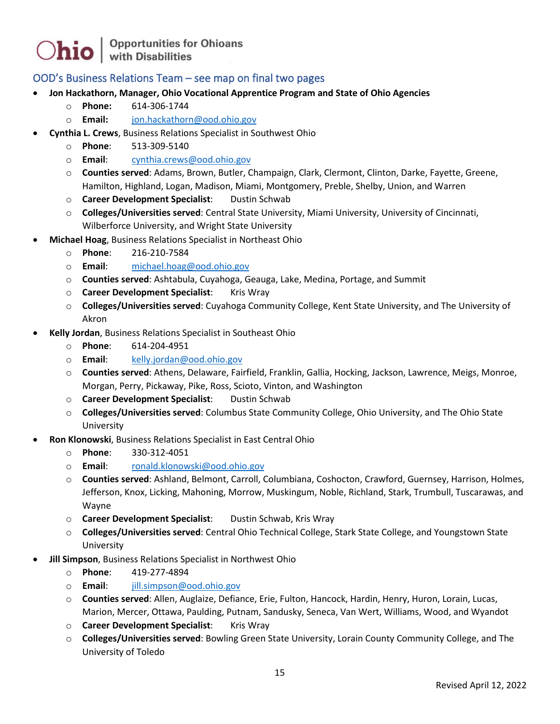#### OOD's Business Relations Team – see map on final two pages

- **Jon Hackathorn, Manager, Ohio Vocational Apprentice Program and State of Ohio Agencies**
	- o **Phone:** 614-306-1744
	- o **Email:** [jon.hackathorn@ood.ohio.gov](mailto:jon.hackathorn@ood.ohio.gov)
- **Cynthia L. Crews**, Business Relations Specialist in Southwest Ohio
	- o **Phone**: 513-309-5140
	- o **Email**: [cynthia.crews@ood.ohio.gov](mailto:cynthia.crews@ood.ohio.gov)
	- o **Counties served**: Adams, Brown, Butler, Champaign, Clark, Clermont, Clinton, Darke, Fayette, Greene, Hamilton, Highland, Logan, Madison, Miami, Montgomery, Preble, Shelby, Union, and Warren
	- o **Career Development Specialist**: Dustin Schwab
	- o **Colleges/Universities served**: Central State University, Miami University, University of Cincinnati, Wilberforce University, and Wright State University
- **Michael Hoag**, Business Relations Specialist in Northeast Ohio
	- o **Phone**: 216-210-7584
	- o **Email**: [michael.hoag@ood.ohio.gov](mailto:michael.hoag@ood.ohio.gov)
	- o **Counties served**: Ashtabula, Cuyahoga, Geauga, Lake, Medina, Portage, and Summit
	- o **Career Development Specialist**: Kris Wray
	- o **Colleges/Universities served**: Cuyahoga Community College, Kent State University, and The University of Akron
- **Kelly Jordan**, Business Relations Specialist in Southeast Ohio
	- o **Phone**: 614-204-4951
	- o **Email**: [kelly.jordan@ood.ohio.gov](mailto:kelly.jordan@ood.ohio.gov)
	- o **Counties served**: Athens, Delaware, Fairfield, Franklin, Gallia, Hocking, Jackson, Lawrence, Meigs, Monroe, Morgan, Perry, Pickaway, Pike, Ross, Scioto, Vinton, and Washington
	- o **Career Development Specialist**: Dustin Schwab
	- o **Colleges/Universities served**: Columbus State Community College, Ohio University, and The Ohio State University
- **Ron Klonowski**, Business Relations Specialist in East Central Ohio
	- o **Phone**: 330-312-4051
	- o **Email**: [ronald.klonowski@ood.ohio.gov](mailto:ronald.klonowski@ood.ohio.gov)
	- o **Counties served**: Ashland, Belmont, Carroll, Columbiana, Coshocton, Crawford, Guernsey, Harrison, Holmes, Jefferson, Knox, Licking, Mahoning, Morrow, Muskingum, Noble, Richland, Stark, Trumbull, Tuscarawas, and Wayne
	- o **Career Development Specialist**: Dustin Schwab, Kris Wray
	- o **Colleges/Universities served**: Central Ohio Technical College, Stark State College, and Youngstown State University
- **Jill Simpson**, Business Relations Specialist in Northwest Ohio
	- o **Phone**: 419-277-4894
	- o **Email**: [jill.simpson@ood.ohio.gov](mailto:jill.simpson@ood.ohio.gov)
	- o **Counties served**: Allen, Auglaize, Defiance, Erie, Fulton, Hancock, Hardin, Henry, Huron, Lorain, Lucas, Marion, Mercer, Ottawa, Paulding, Putnam, Sandusky, Seneca, Van Wert, Williams, Wood, and Wyandot
	- o **Career Development Specialist**: Kris Wray
	- o **Colleges/Universities served**: Bowling Green State University, Lorain County Community College, and The University of Toledo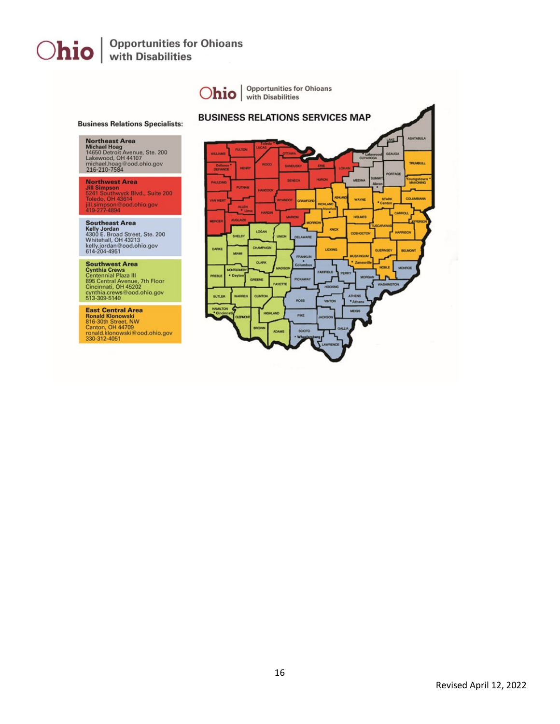

Revised April 12, 2022